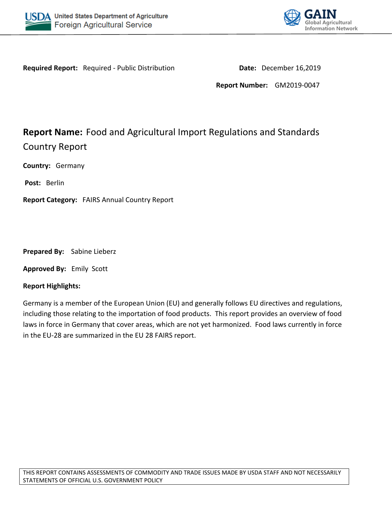



**Required Report:** Required - Public Distribution **Date:** December 16,2019

**Report Number:** GM2019-0047

# **Report Name:** Food and Agricultural Import Regulations and Standards Country Report

**Country:** Germany

**Post:** Berlin

**Report Category:** FAIRS Annual Country Report

**Prepared By:** Sabine Lieberz

**Approved By:** Emily Scott

#### **Report Highlights:**

Germany is a member of the European Union (EU) and generally follows EU directives and regulations, including those relating to the importation of food products. This report provides an overview of food laws in force in Germany that cover areas, which are not yet harmonized. Food laws currently in force in the EU-28 are summarized in the EU 28 FAIRS report.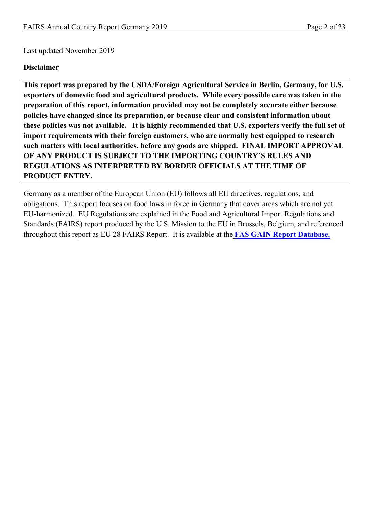Last updated November 2019

#### **Disclaimer**

**This report was prepared by the USDA/Foreign Agricultural Service in Berlin, Germany, for U.S. exporters of domestic food and agricultural products. While every possible care was taken in the preparation of this report, information provided may not be completely accurate either because policies have changed since its preparation, or because clear and consistent information about these policies was not available. It is highly recommended that U.S. exporters verify the full set of import requirements with their foreign customers, who are normally best equipped to research such matters with local authorities, before any goods are shipped. FINAL IMPORT APPROVAL OF ANY PRODUCT IS SUBJECT TO THE IMPORTING COUNTRY'S RULES AND REGULATIONS AS INTERPRETED BY BORDER OFFICIALS AT THE TIME OF PRODUCT ENTRY.**

Germany as a member of the European Union (EU) follows all EU directives, regulations, and obligations. This report focuses on food laws in force in Germany that cover areas which are not yet EU-harmonized. EU Regulations are explained in the Food and Agricultural Import Regulations and Standards (FAIRS) report produced by the U.S. Mission to the EU in Brussels, Belgium, and referenced throughout this report as EU 28 FAIRS Report. It is available at the **[FAS GAIN Report Database.](https://gain.fas.usda.gov/#/search)**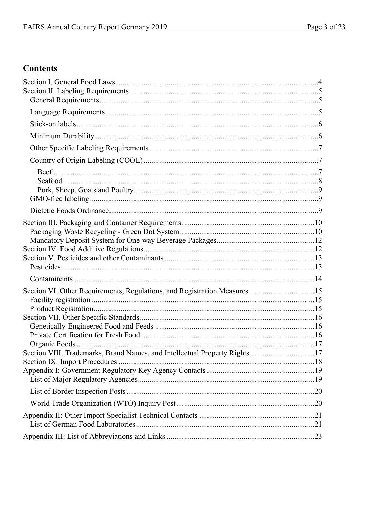# **Contents**

| Section VI. Other Requirements, Regulations, and Registration Measures15   |  |
|----------------------------------------------------------------------------|--|
|                                                                            |  |
|                                                                            |  |
|                                                                            |  |
|                                                                            |  |
|                                                                            |  |
|                                                                            |  |
| Section VIII. Trademarks, Brand Names, and Intellectual Property Rights 17 |  |
|                                                                            |  |
|                                                                            |  |
|                                                                            |  |
|                                                                            |  |
|                                                                            |  |
|                                                                            |  |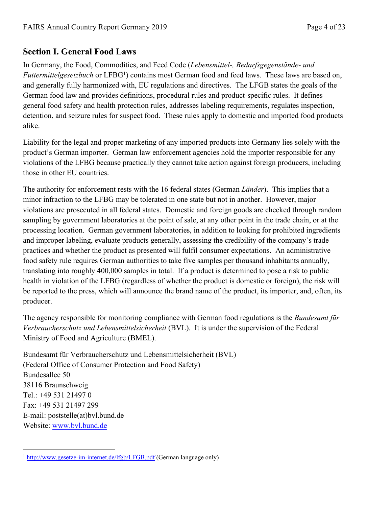# <span id="page-3-0"></span>**Section I. General Food Laws**

In Germany, the Food, Commodities, and Feed Code (*Lebensmittel-, Bedarfsgegenstände- und*  Futtermittelgesetzbuch or LFBG<sup>1</sup>) contains most German food and feed laws. These laws are based on, and generally fully harmonized with, EU regulations and directives. The LFGB states the goals of the German food law and provides definitions, procedural rules and product-specific rules. It defines general food safety and health protection rules, addresses labeling requirements, regulates inspection, detention, and seizure rules for suspect food. These rules apply to domestic and imported food products alike.

Liability for the legal and proper marketing of any imported products into Germany lies solely with the product's German importer. German law enforcement agencies hold the importer responsible for any violations of the LFBG because practically they cannot take action against foreign producers, including those in other EU countries.

The authority for enforcement rests with the 16 federal states (German *Länder*). This implies that a minor infraction to the LFBG may be tolerated in one state but not in another. However, major violations are prosecuted in all federal states. Domestic and foreign goods are checked through random sampling by government laboratories at the point of sale, at any other point in the trade chain, or at the processing location. German government laboratories, in addition to looking for prohibited ingredients and improper labeling, evaluate products generally, assessing the credibility of the company's trade practices and whether the product as presented will fulfil consumer expectations. An administrative food safety rule requires German authorities to take five samples per thousand inhabitants annually, translating into roughly 400,000 samples in total. If a product is determined to pose a risk to public health in violation of the LFBG (regardless of whether the product is domestic or foreign), the risk will be reported to the press, which will announce the brand name of the product, its importer, and, often, its producer.

The agency responsible for monitoring compliance with German food regulations is the *Bundesamt für Verbraucherschutz und Lebensmittelsicherheit* (BVL). It is under the supervision of the Federal Ministry of Food and Agriculture (BMEL).

Bundesamt für Verbraucherschutz und Lebensmittelsicherheit (BVL) (Federal Office of Consumer Protection and Food Safety) Bundesallee 50 38116 Braunschweig Tel.: +49 531 21497 0 Fax: +49 531 21497 299 E-mail: poststelle(at)bvl.bund.de Website: [www.bvl.bund.de](http://www.bvl.bund.de/)

<sup>&</sup>lt;sup>1</sup> <http://www.gesetze-im-internet.de/lfgb/LFGB.pdf> (German language only)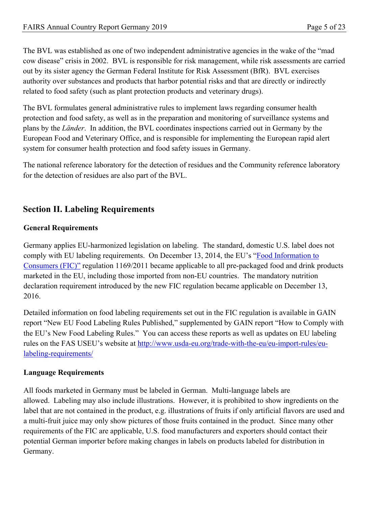The BVL was established as one of two independent administrative agencies in the wake of the "mad cow disease" crisis in 2002. BVL is responsible for risk management, while risk assessments are carried out by its sister agency the German Federal Institute for Risk Assessment (BfR). BVL exercises authority over substances and products that harbor potential risks and that are directly or indirectly related to food safety (such as plant protection products and veterinary drugs).

The BVL formulates general administrative rules to implement laws regarding consumer health protection and food safety, as well as in the preparation and monitoring of surveillance systems and plans by the *Länder*. In addition, the BVL coordinates inspections carried out in Germany by the European Food and Veterinary Office, and is responsible for implementing the European rapid alert system for consumer health protection and food safety issues in Germany.

The national reference laboratory for the detection of residues and the Community reference laboratory for the detection of residues are also part of the BVL.

# <span id="page-4-0"></span>**Section II. Labeling Requirements**

#### <span id="page-4-1"></span>**General Requirements**

Germany applies EU-harmonized legislation on labeling. The standard, domestic U.S. label does not comply with EU labeling requirements. On December 13, 2014, the EU's "[Food Information to](http://eur-lex.europa.eu/legal-content/EN/TXT/?qid=1513163394644&uri=CELEX:02011R1169-20140219)  [Consumers \(FIC\)"](http://eur-lex.europa.eu/legal-content/EN/TXT/?qid=1513163394644&uri=CELEX:02011R1169-20140219) regulation 1169/2011 became applicable to all pre-packaged food and drink products marketed in the EU, including those imported from non-EU countries. The mandatory nutrition declaration requirement introduced by the new FIC regulation became applicable on December 13, 2016.

Detailed information on food labeling requirements set out in the FIC regulation is available in GAIN report "New EU Food Labeling Rules Published," supplemented by GAIN report "How to Comply with the EU's New Food Labeling Rules." You can access these reports as well as updates on EU labeling rules on the FAS USEU's website at [http://www.usda-eu.org/trade-with-the-eu/eu-import-rules/eu](http://www.usda-eu.org/trade-with-the-eu/eu-import-rules/eu-labeling-requirements/)[labeling-requirements/](http://www.usda-eu.org/trade-with-the-eu/eu-import-rules/eu-labeling-requirements/)

#### <span id="page-4-2"></span>**Language Requirements**

All foods marketed in Germany must be labeled in German. Multi-language labels are allowed. Labeling may also include illustrations. However, it is prohibited to show ingredients on the label that are not contained in the product, e.g. illustrations of fruits if only artificial flavors are used and a multi-fruit juice may only show pictures of those fruits contained in the product. Since many other requirements of the FIC are applicable, U.S. food manufacturers and exporters should contact their potential German importer before making changes in labels on products labeled for distribution in Germany.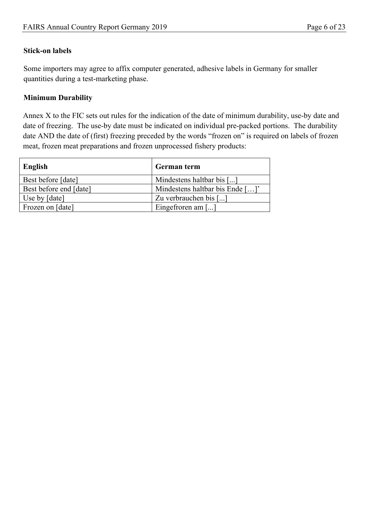#### <span id="page-5-0"></span>**Stick-on labels**

Some importers may agree to affix computer generated, adhesive labels in Germany for smaller quantities during a test-marketing phase.

#### <span id="page-5-1"></span>**Minimum Durability**

Annex X to the FIC sets out rules for the indication of the date of minimum durability, use-by date and date of freezing. The use-by date must be indicated on individual pre-packed portions. The durability date AND the date of (first) freezing preceded by the words "frozen on" is required on labels of frozen meat, frozen meat preparations and frozen unprocessed fishery products:

<span id="page-5-2"></span>

| English                | German term                          |
|------------------------|--------------------------------------|
| Best before [date]     | Mindestens haltbar bis []            |
| Best before end [date] | Mindestens haltbar bis Ende []'      |
| Use by [date]          | Zu verbrauchen bis []                |
| Frozen on [date]       | Eingefroren am $\left[\ldots\right]$ |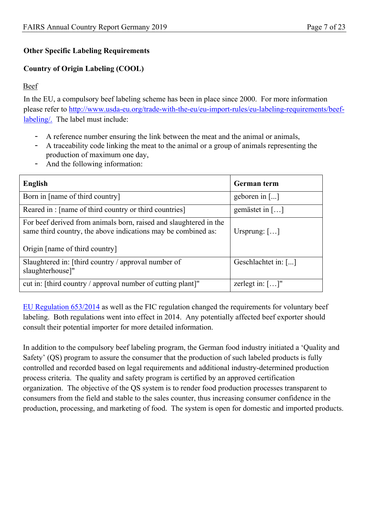#### **Other Specific Labeling Requirements**

### <span id="page-6-0"></span>**Country of Origin Labeling (COOL)**

#### <span id="page-6-1"></span>Beef

In the EU, a compulsory beef labeling scheme has been in place since 2000. For more information please refer to [http://www.usda-eu.org/trade-with-the-eu/eu-import-rules/eu-labeling-requirements/beef](http://www.usda-eu.org/trade-with-the-eu/eu-import-rules/eu-labeling-requirements/beef-labeling/)[labeling/.](http://www.usda-eu.org/trade-with-the-eu/eu-import-rules/eu-labeling-requirements/beef-labeling/) The label must include:

- A reference number ensuring the link between the meat and the animal or animals,
- A traceability code linking the meat to the animal or a group of animals representing the production of maximum one day,
- And the following information:

| English                                                                                                                                                              | German term                      |
|----------------------------------------------------------------------------------------------------------------------------------------------------------------------|----------------------------------|
| Born in [name of third country]                                                                                                                                      | geboren in $\lceil \dots \rceil$ |
| Reared in: [name of third country or third countries]                                                                                                                | gemästet in $[\dots]$            |
| For beef derived from animals born, raised and slaughtered in the<br>same third country, the above indications may be combined as:<br>Origin [name of third country] | Ursprung: $[\ldots]$             |
| Slaughtered in: [third country $\ell$ approval number of<br>slaughterhouse]"                                                                                         | Geschlachtet in: []              |
| cut in: [third country / approval number of cutting plant]"                                                                                                          | zerlegt in: $[\dots]$ "          |

[EU Regulation 653/2014](http://eur-lex.europa.eu/legal-content/EN/TXT/PDF/?uri=OJ:JOL_2014_189_R_0002&rid=2) as well as the FIC regulation changed the requirements for voluntary beef labeling. Both regulations went into effect in 2014. Any potentially affected beef exporter should consult their potential importer for more detailed information.

In addition to the compulsory beef labeling program, the German food industry initiated a 'Quality and Safety' (QS) program to assure the consumer that the production of such labeled products is fully controlled and recorded based on legal requirements and additional industry-determined production process criteria. The quality and safety program is certified by an approved certification organization. The objective of the QS system is to render food production processes transparent to consumers from the field and stable to the sales counter, thus increasing consumer confidence in the production, processing, and marketing of food. The system is open for domestic and imported products.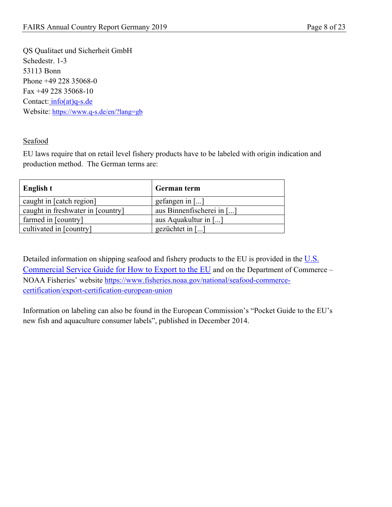QS Qualitaet und Sicherheit GmbH Schedestr. 1-3 53113 Bonn Phone +49 228 35068-0 Fax +49 228 35068-10 Contact: [info\(at\)q-s.de](mailto:info@q-s.de) Website: <https://www.q-s.de/en/?lang=gb>

<span id="page-7-0"></span>Seafood

EU laws require that on retail level fishery products have to be labeled with origin indication and production method. The German terms are:

| English t                         | German term                         |
|-----------------------------------|-------------------------------------|
| caught in [catch region]          | gefangen in $\lceil \ldots \rceil$  |
| caught in freshwater in [country] | aus Binnenfischerei in []           |
| farmed in [country]               | aus Aquakultur in []                |
| cultivated in [country]           | gezüchtet in $\lceil \ldots \rceil$ |

Detailed information on shipping seafood and fishery products to the EU is provided in the U.S. [Commercial Service Guide for How to Export to the EU](https://www.fisheries.noaa.gov/webdam/download/88055382) and on the Department of Commerce – NOAA Fisheries' website [https://www.fisheries.noaa.gov/national/seafood-commerce](https://www.fisheries.noaa.gov/national/seafood-commerce-certification/export-certification-european-union)[certification/export-certification-european-union](https://www.fisheries.noaa.gov/national/seafood-commerce-certification/export-certification-european-union)

Information on labeling can also be found in the European Commission's "Pocket Guide to the EU's new fish and aquaculture consumer labels", published in December 2014.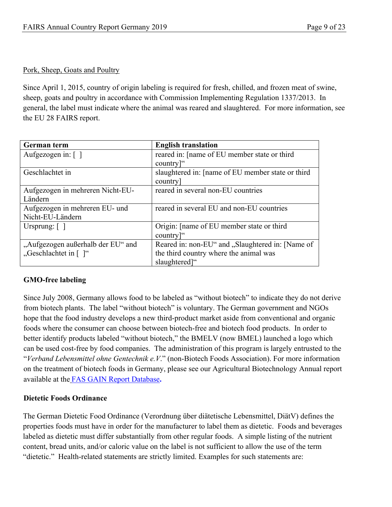#### <span id="page-8-0"></span>Pork, Sheep, Goats and Poultry

Since April 1, 2015, country of origin labeling is required for fresh, chilled, and frozen meat of swine, sheep, goats and poultry in accordance with Commission Implementing Regulation 1337/2013. In general, the label must indicate where the animal was reared and slaughtered. For more information, see the [EU 28 FAIRS report](https://gain.fas.usda.gov/Recent%20GAIN%20Publications/Food%20and%20Agricultural%20Import%20Regulations%20and%20Standards%20-%20Narrative_Brussels%20USEU_EU-28_12-7-2017.pdf).

| German term                       | <b>English translation</b>                        |
|-----------------------------------|---------------------------------------------------|
| Aufgezogen in: $\lceil \; \rceil$ | reared in: [name of EU member state or third      |
|                                   | country]"                                         |
| Geschlachtet in                   | slaughtered in: [name of EU member state or third |
|                                   | country                                           |
| Aufgezogen in mehreren Nicht-EU-  | reared in several non-EU countries                |
| Ländern                           |                                                   |
| Aufgezogen in mehreren EU- und    | reared in several EU and non-EU countries         |
| Nicht-EU-Ländern                  |                                                   |
| Ursprung: $\lceil \; \rceil$      | Origin: [name of EU member state or third]        |
|                                   | country]"                                         |
| "Aufgezogen außerhalb der EU" and | Reared in: non-EU" and "Slaughtered in: [Name of  |
| "Geschlachtet in [ ]"             | the third country where the animal was            |
|                                   | slaughtered]"                                     |

#### <span id="page-8-1"></span>**GMO-free labeling**

Since July 2008, Germany allows food to be labeled as "without biotech" to indicate they do not derive from biotech plants. The label "without biotech" is voluntary. The German government and NGOs hope that the food industry develops a new third-product market aside from conventional and organic foods where the consumer can choose between biotech-free and biotech food products. In order to better identify products labeled "without biotech," the BMELV (now BMEL) launched a logo which can be used cost-free by food companies. The administration of this program is largely entrusted to the "*Verband Lebensmittel ohne Gentechnik e.V*." (non-Biotech Foods Association). For more information on the treatment of biotech foods in Germany, please see our Agricultural Biotechnology Annual report available at the [FAS GAIN Report Database](https://gain.fas.usda.gov/#/search)**.**

#### <span id="page-8-2"></span>**Dietetic Foods Ordinance**

The German Dietetic Food Ordinance (Verordnung über diätetische Lebensmittel, DiätV) defines the properties foods must have in order for the manufacturer to label them as dietetic. Foods and beverages labeled as dietetic must differ substantially from other regular foods. A simple listing of the nutrient content, bread units, and/or caloric value on the label is not sufficient to allow the use of the term "dietetic." Health-related statements are strictly limited. Examples for such statements are: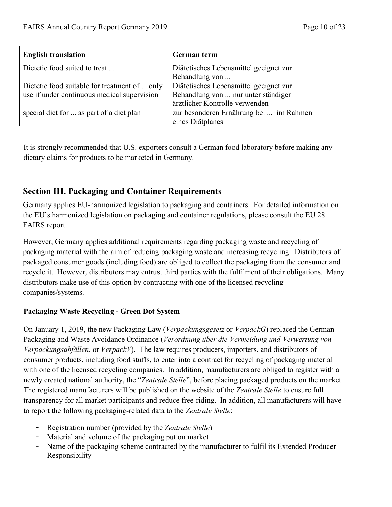| <b>English translation</b>                    | German term                             |
|-----------------------------------------------|-----------------------------------------|
| Dietetic food suited to treat                 | Diätetisches Lebensmittel geeignet zur  |
|                                               | Behandlung von                          |
| Dietetic food suitable for treatment of  only | Diätetisches Lebensmittel geeignet zur  |
| use if under continuous medical supervision   | Behandlung von  nur unter ständiger     |
|                                               | ärztlicher Kontrolle verwenden          |
| special diet for  as part of a diet plan      | zur besonderen Ernährung bei  im Rahmen |
|                                               | eines Diätplanes                        |

It is strongly recommended that U.S. exporters consult a German food laboratory before making any dietary claims for products to be marketed in Germany.

# <span id="page-9-0"></span>**Section III. Packaging and Container Requirements**

Germany applies EU-harmonized legislation to packaging and containers. For detailed information on the EU's harmonized legislation on packaging and container regulations, please consult the EU 28 FAIRS report.

However, Germany applies additional requirements regarding packaging waste and recycling of packaging material with the aim of reducing packaging waste and increasing recycling. Distributors of packaged consumer goods (including food) are obliged to collect the packaging from the consumer and recycle it. However, distributors may entrust third parties with the fulfilment of their obligations. Many distributors make use of this option by contracting with one of the licensed recycling companies/systems.

#### <span id="page-9-1"></span>**Packaging Waste Recycling - Green Dot System**

On January 1, 2019, the new Packaging Law (*Verpackungsgesetz* or *VerpackG*) replaced the German Packaging and Waste Avoidance Ordinance (*Verordnung über die Vermeidung und Verwertung von Verpackungsabfällen*, or *VerpackV*). The law requires producers, importers, and distributors of consumer products, including food stuffs, to enter into a contract for recycling of packaging material with one of the licensed recycling companies. In addition, manufacturers are obliged to register with a newly created national authority, the "*Zentrale Stelle*", before placing packaged products on the market. The registered manufacturers will be published on the website of the *Zentrale Stelle* to ensure full transparency for all market participants and reduce free-riding. In addition, all manufacturers will have to report the following packaging-related data to the *Zentrale Stelle*:

- Registration number (provided by the *Zentrale Stelle*)
- Material and volume of the packaging put on market
- Name of the packaging scheme contracted by the manufacturer to fulfil its Extended Producer Responsibility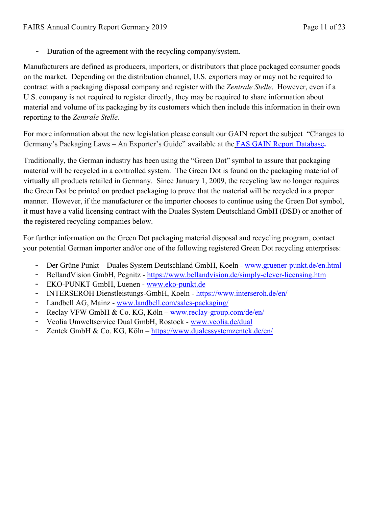- Duration of the agreement with the recycling company/system.

Manufacturers are defined as producers, importers, or distributors that place packaged consumer goods on the market. Depending on the distribution channel, U.S. exporters may or may not be required to contract with a packaging disposal company and register with the *Zentrale Stelle*. However, even if a U.S. company is not required to register directly, they may be required to share information about material and volume of its packaging by its customers which then include this information in their own reporting to the *Zentrale Stelle*.

For more information about the new legislation please consult our GAIN report the subject "Changes to Germany's Packaging Laws – An Exporter's Guide" available at the [FAS GAIN Report Database](https://gain.fas.usda.gov/#/search)**.**

Traditionally, the German industry has been using the "Green Dot" symbol to assure that packaging material will be recycled in a controlled system. The Green Dot is found on the packaging material of virtually all products retailed in Germany. Since January 1, 2009, the recycling law no longer requires the Green Dot be printed on product packaging to prove that the material will be recycled in a proper manner. However, if the manufacturer or the importer chooses to continue using the Green Dot symbol, it must have a valid licensing contract with the Duales System Deutschland GmbH (DSD) or another of the registered recycling companies below.

For further information on the Green Dot packaging material disposal and recycling program, contact your potential German importer and/or one of the following registered Green Dot recycling enterprises:

- Der Grüne Punkt Duales System Deutschland GmbH, Koeln - [www.gruener-punkt.de/en.html](http://www.gruener-punkt.de/en.html)
- BellandVision GmbH, Pegnitz <https://www.bellandvision.de/simply-clever-licensing.htm>
- EKO-PUNKT GmbH, Luenen - [www.eko-punkt.de](http://www.eko-punkt.de/)
- INTERSEROH Dienstleistungs-GmbH, Koeln -<https://www.interseroh.de/en/>
- Landbell AG, Mainz - [www.landbell.com/sales-packaging/](http://www.landbell.com/sales-packaging/)
- Reclay VFW GmbH & Co. KG, Köln – [www.reclay-group.com/de/en/](http://www.reclay-group.com/de/en/)
- Veolia Umweltservice Dual GmbH, Rostock [www.veolia.de/dual](http://www.veolia.de/dual)
- Zentek GmbH & Co. KG, Köln –<https://www.dualessystemzentek.de/en/>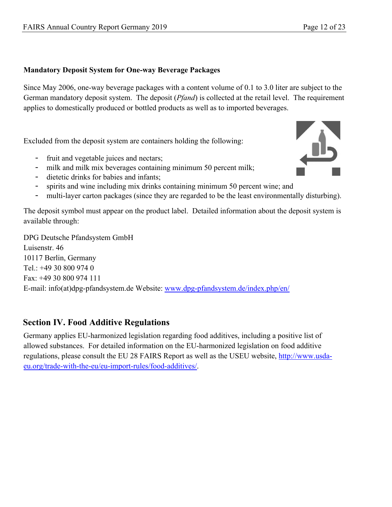#### <span id="page-11-0"></span>**Mandatory Deposit System for One-way Beverage Packages**

Since May 2006, one-way beverage packages with a content volume of 0.1 to 3.0 liter are subject to the German mandatory deposit system. The deposit (*Pfand*) is collected at the retail level. The requirement applies to domestically produced or bottled products as well as to imported beverages.

Excluded from the deposit system are containers holding the following:

- fruit and vegetable juices and nectars;
- milk and milk mix beverages containing minimum 50 percent milk;
- dietetic drinks for babies and infants;
- spirits and wine including mix drinks containing minimum 50 percent wine; and
- multi-layer carton packages (since they are regarded to be the least environmentally disturbing).

The deposit symbol must appear on the product label. Detailed information about the deposit system is available through:

DPG Deutsche Pfandsystem GmbH Luisenstr. 46 10117 Berlin, Germany Tel.: +49 30 800 974 0 Fax: +49 30 800 974 111 E-mail: info(at)dpg-pfandsystem.de Website: [www.dpg-pfandsystem.de/index.php/en/](http://www.dpg-pfandsystem.de/index.php/en/)

# <span id="page-11-1"></span>**Section IV. Food Additive Regulations**

<span id="page-11-2"></span>Germany applies EU-harmonized legislation regarding food additives, including a positive list of allowed substances. For detailed information on the EU-harmonized legislation on food additive regulations, please consult the EU 28 FAIRS Report as well as the USEU website, [http://www.usda](http://www.usda-eu.org/trade-with-the-eu/eu-import-rules/food-additives/)[eu.org/trade-with-the-eu/eu-import-rules/food-additives/.](http://www.usda-eu.org/trade-with-the-eu/eu-import-rules/food-additives/)

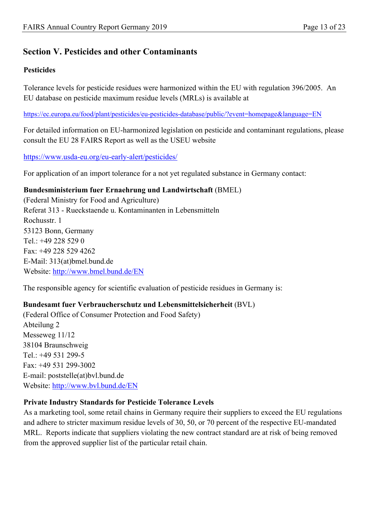# **Section V. Pesticides and other Contaminants**

#### <span id="page-12-0"></span>**Pesticides**

Tolerance levels for pesticide residues were harmonized within the EU with regulation 396/2005. An EU database on pesticide maximum residue levels (MRLs) is available at

<https://ec.europa.eu/food/plant/pesticides/eu-pesticides-database/public/?event=homepage&language=EN>

For detailed information on EU-harmonized legislation on pesticide and contaminant regulations, please consult the EU 28 FAIRS Report as well as the USEU website

<https://www.usda-eu.org/eu-early-alert/pesticides/>

For application of an import tolerance for a not yet regulated substance in Germany contact:

#### **Bundesministerium fuer Ernaehrung und Landwirtschaft** (BMEL)

(Federal Ministry for Food and Agriculture) Referat 313 - Rueckstaende u. Kontaminanten in Lebensmitteln Rochusstr. 1 53123 Bonn, Germany Tel.: +49 228 529 0 Fax: +49 228 529 4262 E-Mail: 313(at)bmel.bund.de Website:<http://www.bmel.bund.de/EN>

The responsible agency for scientific evaluation of pesticide residues in Germany is:

#### **Bundesamt fuer Verbraucherschutz und Lebensmittelsicherheit** (BVL)

(Federal Office of Consumer Protection and Food Safety) Abteilung 2 Messeweg 11/12 38104 Braunschweig Tel.: +49 531 299-5 Fax: +49 531 299-3002 E-mail: poststelle(at)bvl.bund.de Website: <http://www.bvl.bund.de/EN>

#### **Private Industry Standards for Pesticide Tolerance Levels**

As a marketing tool, some retail chains in Germany require their suppliers to exceed the EU regulations and adhere to stricter maximum residue levels of 30, 50, or 70 percent of the respective EU-mandated MRL. Reports indicate that suppliers violating the new contract standard are at risk of being removed from the approved supplier list of the particular retail chain.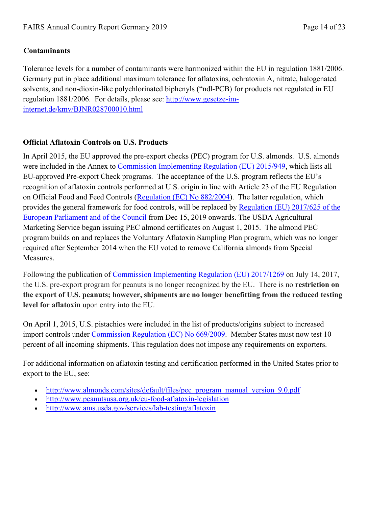#### <span id="page-13-0"></span>**Contaminants**

Tolerance levels for a number of contaminants were harmonized within the EU in regulation 1881/2006. Germany put in place additional maximum tolerance for aflatoxins, ochratoxin A, nitrate, halogenated solvents, and non-dioxin-like polychlorinated biphenyls ("ndl-PCB) for products not regulated in EU regulation 1881/2006. For details, please see: [http://www.gesetze-im](http://www.gesetze-im-internet.de/kmv/BJNR028700010.html)[internet.de/kmv/BJNR028700010.html](http://www.gesetze-im-internet.de/kmv/BJNR028700010.html)

#### **Official Aflatoxin Controls on U.S. Products**

In April 2015, the EU approved the pre-export checks (PEC) program for U.S. almonds. U.S. almonds were included in the Annex to [Commission Implementing Regulation \(EU\) 2015/949,](https://eur-lex.europa.eu/legal-content/EN/TXT/?qid=1542200689363&uri=CELEX:02015R0949-20170717) which lists all EU-approved Pre-export Check programs. The acceptance of the U.S. program reflects the EU's recognition of aflatoxin controls performed at U.S. origin in line with Article 23 of the EU Regulation on Official Food and Feed Controls ([Regulation \(EC\) No 882/2004\)](http://eur-lex.europa.eu/legal-content/EN/TXT/PDF/?uri=CELEX:02004R0882-20140630&qid=1447081663266&from=EN). The latter regulation, which provides the general framework for food controls, will be replaced by [Regulation \(EU\) 2017/625 of the](https://eur-lex.europa.eu/legal-content/EN/TXT/?qid=1542201662795&uri=CELEX:32017R0625)  [European Parliament and of the Council](https://eur-lex.europa.eu/legal-content/EN/TXT/?qid=1542201662795&uri=CELEX:32017R0625) from Dec 15, 2019 onwards. The USDA Agricultural Marketing Service began issuing PEC almond certificates on August 1, 2015.The almond PEC program builds on and replaces the Voluntary Aflatoxin Sampling Plan program, which was no longer required after September 2014 when the EU voted to remove California almonds from Special Measures.

Following the publication of [Commission Implementing Regulation \(EU\) 2017/1269](https://eur-lex.europa.eu/legal-content/AUTO/?uri=CELEX:32017R1269&qid=1549877565105&rid=1) on July 14, 2017, the U.S. pre-export program for peanuts is no longer recognized by the EU. There is no **restriction on the export of U.S. peanuts; however, shipments are no longer benefitting from the reduced testing level for aflatoxin** upon entry into the EU.

On April 1, 2015, U.S. pistachios were included in the list of products/origins subject to increased import controls under [Commission Regulation \(EC\) No 669/2009.](https://eur-lex.europa.eu/legal-content/EN/TXT/?qid=1542202907463&uri=CELEX:02009R0669-20180706) Member States must now test 10 percent of all incoming shipments. This regulation does not impose any requirements on exporters.

For additional information on aflatoxin testing and certification performed in the United States prior to export to the EU, see:

- http://www.almonds.com/sites/default/files/pec\_program\_manual\_version\_9.0.pdf
- <http://www.peanutsusa.org.uk/eu-food-aflatoxin-legislation>
- <http://www.ams.usda.gov/services/lab-testing/aflatoxin>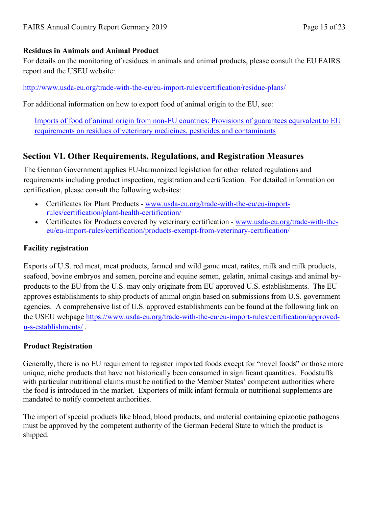#### **Residues in Animals and Animal Product**

For details on the monitoring of residues in animals and animal products, please consult the EU FAIRS report and the USEU website:

<http://www.usda-eu.org/trade-with-the-eu/eu-import-rules/certification/residue-plans/>

For additional information on how to export food of animal origin to the EU, see:

[Imports of food of animal origin from non-EU countries: Provisions of guarantees equivalent to EU](https://ec.europa.eu/food/sites/food/files/safety/docs/cs_vet-med-residues_animal-imports-non-eu_brochure_en.pdf)  [requirements on residues of veterinary medicines, pesticides and contaminants](https://ec.europa.eu/food/sites/food/files/safety/docs/cs_vet-med-residues_animal-imports-non-eu_brochure_en.pdf)

# <span id="page-14-0"></span>**Section VI. Other Requirements, Regulations, and Registration Measures**

The German Government applies EU-harmonized legislation for other related regulations and requirements including product inspection, registration and certification. For detailed information on certification, please consult the following websites:

- Certificates for Plant Products [www.usda-eu.org/trade-with-the-eu/eu-import](http://www.usda-eu.org/trade-with-the-eu/eu-import-rules/certification/plant-health-certification/)[rules/certification/plant-health-certification/](http://www.usda-eu.org/trade-with-the-eu/eu-import-rules/certification/plant-health-certification/)
- Certificates for Products covered by veterinary certification [www.usda-eu.org/trade-with-the](http://www.usda-eu.org/trade-with-the-eu/eu-import-rules/certification/products-exempt-from-veterinary-certification/)[eu/eu-import-rules/certification/products-exempt-from-veterinary-certification/](http://www.usda-eu.org/trade-with-the-eu/eu-import-rules/certification/products-exempt-from-veterinary-certification/)

#### <span id="page-14-1"></span>**Facility registration**

Exports of U.S. red meat, meat products, farmed and wild game meat, ratites, milk and milk products, seafood, bovine embryos and semen, porcine and equine semen, gelatin, animal casings and animal byproducts to the EU from the U.S. may only originate from EU approved U.S. establishments. The EU approves establishments to ship products of animal origin based on submissions from U.S. government agencies. A comprehensive list of U.S. approved establishments can be found at the following link on the USEU webpage [https://www.usda-eu.org/trade-with-the-eu/eu-import-rules/certification/approved](https://www.usda-eu.org/trade-with-the-eu/eu-import-rules/certification/approved-u-s-establishments/)[u-s-establishments/](https://www.usda-eu.org/trade-with-the-eu/eu-import-rules/certification/approved-u-s-establishments/) .

#### <span id="page-14-2"></span>**Product Registration**

Generally, there is no EU requirement to register imported foods except for "novel foods" or those more unique, niche products that have not historically been consumed in significant quantities. Foodstuffs with particular nutritional claims must be notified to the Member States' competent authorities where the food is introduced in the market. Exporters of milk infant formula or nutritional supplements are mandated to notify competent authorities.

<span id="page-14-3"></span>The import of special products like blood, blood products, and material containing epizootic pathogens must be approved by the competent authority of the German Federal State to which the product is shipped.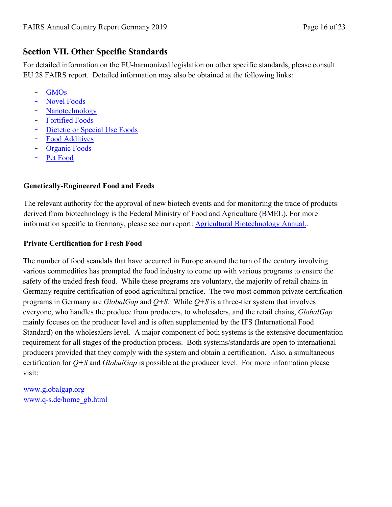# **Section VII. Other Specific Standards**

For detailed information on the EU-harmonized legislation on other specific standards, please consult EU 28 FAIRS report. Detailed information may also be obtained at the following links:

- GMO<sub>s</sub>
- [Novel Foods](http://www.usda-eu.org/trade-with-the-eu/eu-import-rules/novel-foods/)
- **[Nanotechnology](https://www.usda-eu.org/topics/nanotechnology/)**
- [Fortified Foods](http://www.usda-eu.org/trade-with-the-eu/eu-import-rules/eu-labeling-requirements/fortified-foods/)
- [Dietetic or Special Use Foods](http://www.usda-eu.org/trade-with-the-eu/eu-import-rules/eu-labeling-requirements/dietetic-foods/)
- [Food Additives](https://www.usda-eu.org/trade-with-the-eu/eu-import-rules/food-additives/)
- **[Organic Foods](http://www.usda-eu.org/trade-with-the-eu/eu-import-rules/organic-production/)**
- [Pet Food](http://www.usda-eu.org/trade-with-the-eu/eu-import-rules/pet-food/)

#### <span id="page-15-0"></span>**Genetically-Engineered Food and Feeds**

The relevant authority for the approval of new biotech events and for monitoring the trade of products derived from biotechnology is the Federal Ministry of Food and Agriculture (BMEL). For more information specific to Germany, please see our report: [Agricultural Biotechnology Annual.](https://apps.fas.usda.gov/newgainapi/api/Report/DownloadReportByFileName?fileName=Agricultural%20Biotechnology%20Annual_Berlin_Germany_10-20-2019).

#### <span id="page-15-1"></span>**Private Certification for Fresh Food**

The number of food scandals that have occurred in Europe around the turn of the century involving various commodities has prompted the food industry to come up with various programs to ensure the safety of the traded fresh food. While these programs are voluntary, the majority of retail chains in Germany require certification of good agricultural practice. The two most common private certification programs in Germany are *GlobalGap* and *Q+S*. While *Q+S* is a three-tier system that involves everyone, who handles the produce from producers, to wholesalers, and the retail chains, *GlobalGap* mainly focuses on the producer level and is often supplemented by the IFS (International Food Standard) on the wholesalers level. A major component of both systems is the extensive documentation requirement for all stages of the production process. Both systems/standards are open to international producers provided that they comply with the system and obtain a certification. Also, a simultaneous certification for *Q+S* and *GlobalGap* is possible at the producer level. For more information please visit:

[www.globalgap.org](http://www.globalgap.org/) [www.q-s.de/home\\_gb.html](http://www.q-s.de/home_gb.html)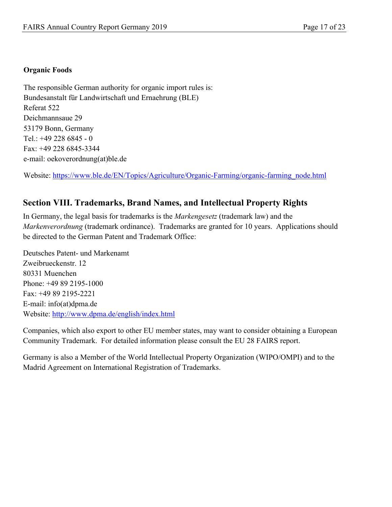#### <span id="page-16-0"></span>**Organic Foods**

The responsible German authority for organic import rules is: Bundesanstalt für Landwirtschaft und Ernaehrung (BLE) Referat 522 Deichmannsaue 29 53179 Bonn, Germany Tel.: +49 228 6845 - 0 Fax: +49 228 6845-3344 e-mail: oekoverordnung(at)ble.de

Website: [https://www.ble.de/EN/Topics/Agriculture/Organic-Farming/organic-farming\\_node.html](https://www.ble.de/EN/Topics/Agriculture/Organic-Farming/organic-farming_node.html) 

### <span id="page-16-1"></span>**Section VIII. Trademarks, Brand Names, and Intellectual Property Rights**

In Germany, the legal basis for trademarks is the *Markengesetz* (trademark law) and the *Markenverordnung* (trademark ordinance). Trademarks are granted for 10 years. Applications should be directed to the German Patent and Trademark Office:

Deutsches Patent- und Markenamt Zweibrueckenstr. 12 80331 Muenchen Phone: +49 89 2195-1000 Fax: +49 89 2195-2221 E-mail: info(at)dpma.de Website: <http://www.dpma.de/english/index.html>

Companies, which also export to other EU member states, may want to consider obtaining a European Community Trademark. For detailed information please consult the EU 28 FAIRS report.

<span id="page-16-2"></span>Germany is also a Member of the World Intellectual Property Organization (WIPO/OMPI) and to the Madrid Agreement on International Registration of Trademarks.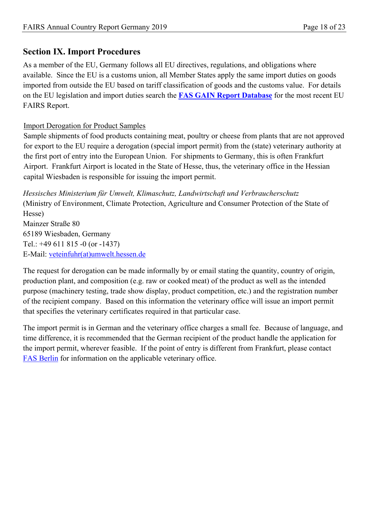# **Section IX. Import Procedures**

As a member of the EU, Germany follows all EU directives, regulations, and obligations where available. Since the EU is a customs union, all Member States apply the same import duties on goods imported from outside the EU based on tariff classification of goods and the customs value. For details on the EU legislation and import duties search the **[FAS GAIN Report Database](https://gain.fas.usda.gov/#/search)** for the most recent EU FAIRS Report.

#### Import Derogation for Product Samples

Sample shipments of food products containing meat, poultry or cheese from plants that are not approved for export to the EU require a derogation (special import permit) from the (state) veterinary authority at the first port of entry into the European Union. For shipments to Germany, this is often Frankfurt Airport. Frankfurt Airport is located in the State of Hesse, thus, the veterinary office in the Hessian capital Wiesbaden is responsible for issuing the import permit.

*Hessisches Ministerium für Umwelt, Klimaschutz, Landwirtschaft und Verbraucherschutz* (Ministry of Environment, Climate Protection, Agriculture and Consumer Protection of the State of Hesse) Mainzer Straße 80 65189 Wiesbaden, Germany Tel.: +49 611 815 -0 (or -1437) E-Mail: [veteinfuhr\(at\)umwelt.hessen.de](http://redirect.state.sbu/?url=mailto:veteinfuhr@umwelt.hessen.de)

The request for derogation can be made informally by or email stating the quantity, country of origin, production plant, and composition (e.g. raw or cooked meat) of the product as well as the intended purpose (machinery testing, trade show display, product competition, etc.) and the registration number of the recipient company. Based on this information the veterinary office will issue an import permit that specifies the veterinary certificates required in that particular case.

The import permit is in German and the veterinary office charges a small fee. Because of language, and time difference, it is recommended that the German recipient of the product handle the application for the import permit, wherever feasible. If the point of entry is different from Frankfurt, please contact [FAS Berlin](mailto:AgBerlin@usda.gov) for information on the applicable veterinary office.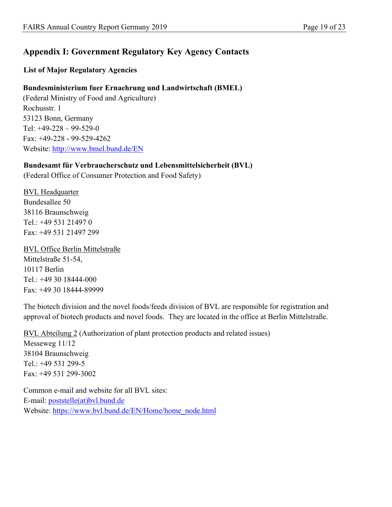# <span id="page-18-0"></span>**Appendix I: Government Regulatory Key Agency Contacts**

#### <span id="page-18-1"></span>**List of Major Regulatory Agencies**

#### **Bundesministerium fuer Ernaehrung und Landwirtschaft (BMEL)**

(Federal Ministry of Food and Agriculture) Rochusstr. 1 53123 Bonn, Germany Tel: +49-228 – 99-529-0 Fax: +49-228 - 99-529-4262 Website: <http://www.bmel.bund.de/EN>

#### **Bundesamt für Verbraucherschutz und Lebensmittelsicherheit (BVL)**

(Federal Office of Consumer Protection and Food Safety)

BVL Headquarter Bundesallee 50 38116 Braunschweig Tel.: +49 531 21497 0 Fax: +49 531 21497 299

BVL Office Berlin Mittelstraße Mittelstraße 51-54, 10117 Berlin Tel.: +49 30 18444-000 Fax: +49 30 18444-89999

The biotech division and the novel foods/feeds division of BVL are responsible for registration and approval of biotech products and novel foods. They are located in the office at Berlin Mittelstraße.

BVL Abteilung 2 (Authorization of plant protection products and related issues) Messeweg 11/12 38104 Braunschweig Tel.: +49 531 299-5 Fax: +49 531 299-3002

Common e-mail and website for all BVL sites: E-mail: [poststelle\(at\)bvl.bund.de](mailto:poststelle@bvl.bund.de) Website: [https://www.bvl.bund.de/EN/Home/home\\_node.html](https://www.bvl.bund.de/EN/Home/home_node.html)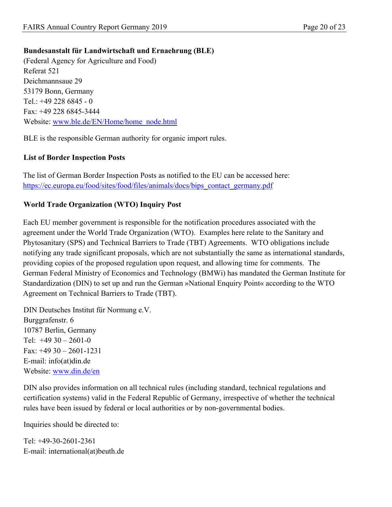### **Bundesanstalt für Landwirtschaft und Ernaehrung (BLE)**

(Federal Agency for Agriculture and Food) Referat 521 Deichmannsaue 29 53179 Bonn, Germany Tel.: +49 228 6845 - 0 Fax: +49 228 6845-3444 Website: [www.ble.de/EN/Home/home\\_node.html](http://www.ble.de/EN/Home/home_node.html)

BLE is the responsible German authority for organic import rules.

## <span id="page-19-0"></span>**List of Border Inspection Posts**

The list of German Border Inspection Posts as notified to the EU can be accessed here: [https://ec.europa.eu/food/sites/food/files/animals/docs/bips\\_contact\\_germany.pdf](https://ec.europa.eu/food/sites/food/files/animals/docs/bips_contact_germany.pdf)

### <span id="page-19-1"></span>**World Trade Organization (WTO) Inquiry Post**

Each EU member government is responsible for the notification procedures associated with the agreement under the World Trade Organization (WTO). Examples here relate to the Sanitary and Phytosanitary (SPS) and Technical Barriers to Trade (TBT) Agreements. WTO obligations include notifying any trade significant proposals, which are not substantially the same as international standards, providing copies of the proposed regulation upon request, and allowing time for comments. The German Federal Ministry of Economics and Technology (BMWi) has mandated the German Institute for Standardization (DIN) to set up and run the German »National Enquiry Point« according to the WTO Agreement on Technical Barriers to Trade (TBT).

DIN Deutsches Institut für Normung e.V. Burggrafenstr. 6 10787 Berlin, Germany Tel:  $+4930 - 2601 - 0$ Fax: +49 30 – 2601-1231 E-mail: info(at)din.de Website: [www.din.de/en](http://www.din.de/en) 

DIN also provides information on all technical rules (including standard, technical regulations and certification systems) valid in the Federal Republic of Germany, irrespective of whether the technical rules have been issued by federal or local authorities or by non-governmental bodies.

Inquiries should be directed to:

Tel: +49-30-2601-2361 E-mail: international(at)beuth.de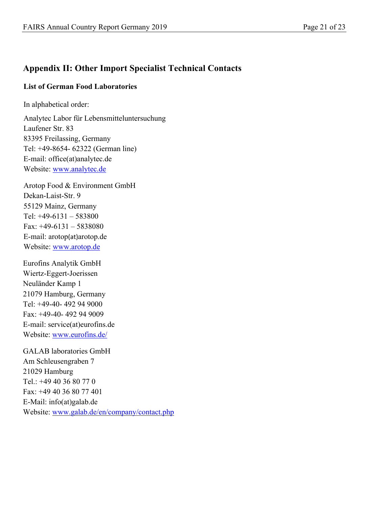# <span id="page-20-0"></span>**Appendix II: Other Import Specialist Technical Contacts**

#### <span id="page-20-1"></span>**List of German Food Laboratories**

In alphabetical order:

Analytec Labor für Lebensmitteluntersuchung Laufener Str. 83 83395 Freilassing, Germany Tel: +49-8654- 62322 (German line) E-mail: office(at)analytec.de Website: [www.analytec.de](http://www.analytec.de/) 

Arotop Food & Environment GmbH Dekan-Laist-Str. 9 55129 Mainz, Germany Tel: +49-6131 – 583800 Fax: +49-6131 – 5838080 E-mail: arotop(at)arotop.de Website: [www.arotop.de](http://www.arotop.de/)

Eurofins Analytik GmbH Wiertz-Eggert-Joerissen Neuländer Kamp 1 21079 Hamburg, Germany Tel: +49-40- 492 94 9000 Fax: +49-40- 492 94 9009 E-mail: service(at)eurofins.de Website: [www.eurofins.de/](http://www.eurofins.de/) 

GALAB laboratories GmbH Am Schleusengraben 7 21029 Hamburg Tel.: +49 40 36 80 77 0 Fax: +49 40 36 80 77 401 E-Mail: info(at)galab.de Website: [www.galab.de/en/company/contact.php](http://www.galab.de/en/company/contact.php)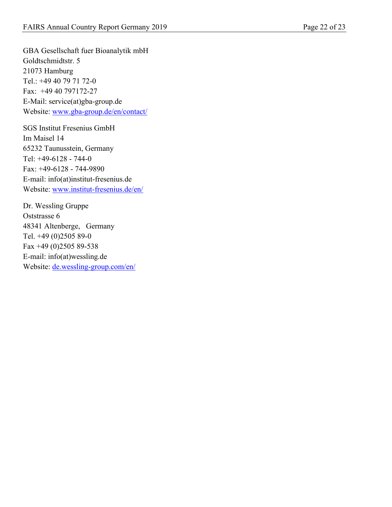GBA Gesellschaft fuer Bioanalytik mbH Goldtschmidtstr. 5 21073 Hamburg Tel.: +49 40 79 71 72-0 Fax: +49 40 797172-27 E-Mail: service(at)gba-group.de Website: [www.gba-group.de/en/contact/](http://www.gba-group.de/en/contact/)

SGS Institut Fresenius GmbH Im Maisel 14 65232 Taunusstein, Germany Tel: +49-6128 - 744-0 Fax: +49-6128 - 744-9890 E-mail: info(at)institut-fresenius.de Website: [www.institut-fresenius.de/en/](http://www.institut-fresenius.de/en/)

Dr. Wessling Gruppe Oststrasse 6 48341 Altenberge, Germany Tel. +49 (0)2505 89-0 Fax +49 (0)2505 89-538 E-mail: info(at)wessling.de Website: [de.wessling-group.com/en/](http://de.wessling-group.com/en/)